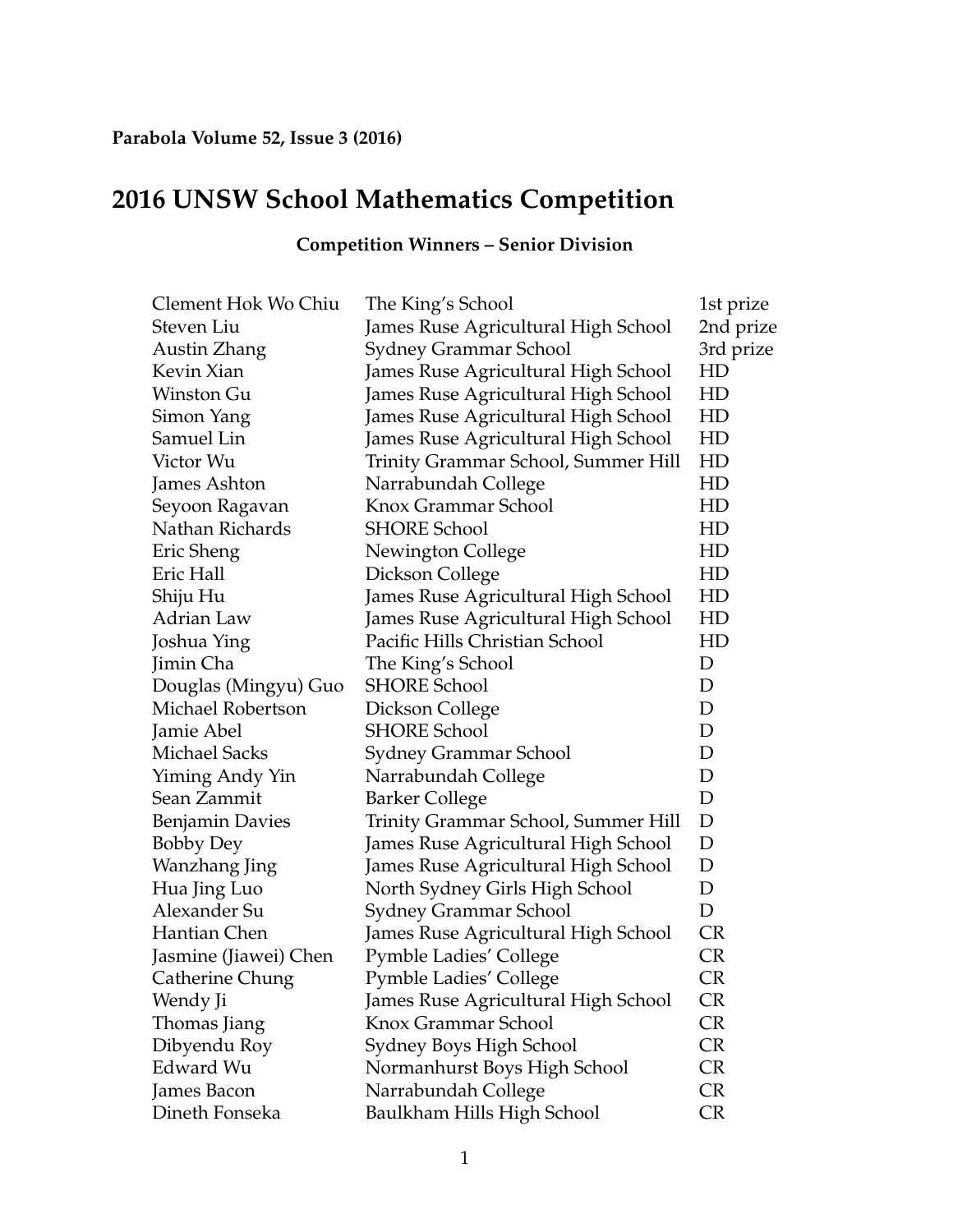## **2016 UNSW School Mathematics Competition**

| Clement Hok Wo Chiu    | The King's School                   | 1st prize |
|------------------------|-------------------------------------|-----------|
| Steven Liu             | James Ruse Agricultural High School | 2nd prize |
| Austin Zhang           | <b>Sydney Grammar School</b>        | 3rd prize |
| Kevin Xian             | James Ruse Agricultural High School | HD        |
| Winston Gu             | James Ruse Agricultural High School | HD        |
| Simon Yang             | James Ruse Agricultural High School | HD        |
| Samuel Lin             | James Ruse Agricultural High School | HD        |
| Victor Wu              | Trinity Grammar School, Summer Hill | HD        |
| James Ashton           | Narrabundah College                 | HD        |
| Seyoon Ragavan         | Knox Grammar School                 | HD        |
| Nathan Richards        | <b>SHORE School</b>                 | HD        |
| Eric Sheng             | Newington College                   | HD        |
| Eric Hall              | Dickson College                     | HD        |
| Shiju Hu               | James Ruse Agricultural High School | HD        |
| Adrian Law             | James Ruse Agricultural High School | HD        |
| Joshua Ying            | Pacific Hills Christian School      | HD        |
| Jimin Cha              | The King's School                   | D         |
| Douglas (Mingyu) Guo   | <b>SHORE School</b>                 | D         |
| Michael Robertson      | Dickson College                     | D         |
| Jamie Abel             | <b>SHORE School</b>                 | D         |
| <b>Michael Sacks</b>   | Sydney Grammar School               | D         |
| Yiming Andy Yin        | Narrabundah College                 | D         |
| Sean Zammit            | <b>Barker College</b>               | D         |
| <b>Benjamin Davies</b> | Trinity Grammar School, Summer Hill | D         |
| <b>Bobby Dey</b>       | James Ruse Agricultural High School | D         |
| Wanzhang Jing          | James Ruse Agricultural High School | D         |
| Hua Jing Luo           | North Sydney Girls High School      | D         |
| Alexander Su           | Sydney Grammar School               | D         |
| Hantian Chen           | James Ruse Agricultural High School | <b>CR</b> |
| Jasmine (Jiawei) Chen  | <b>Pymble Ladies' College</b>       | CR        |
| Catherine Chung        | Pymble Ladies' College              | CR        |
| Wendy Ji               | James Ruse Agricultural High School | CR        |
| Thomas Jiang           | Knox Grammar School                 | <b>CR</b> |
| Dibyendu Roy           | Sydney Boys High School             | <b>CR</b> |
| Edward Wu              | Normanhurst Boys High School        | <b>CR</b> |
| James Bacon            | Narrabundah College                 | <b>CR</b> |
| Dineth Fonseka         | Baulkham Hills High School          | <b>CR</b> |

## **Competition Winners – Senior Division**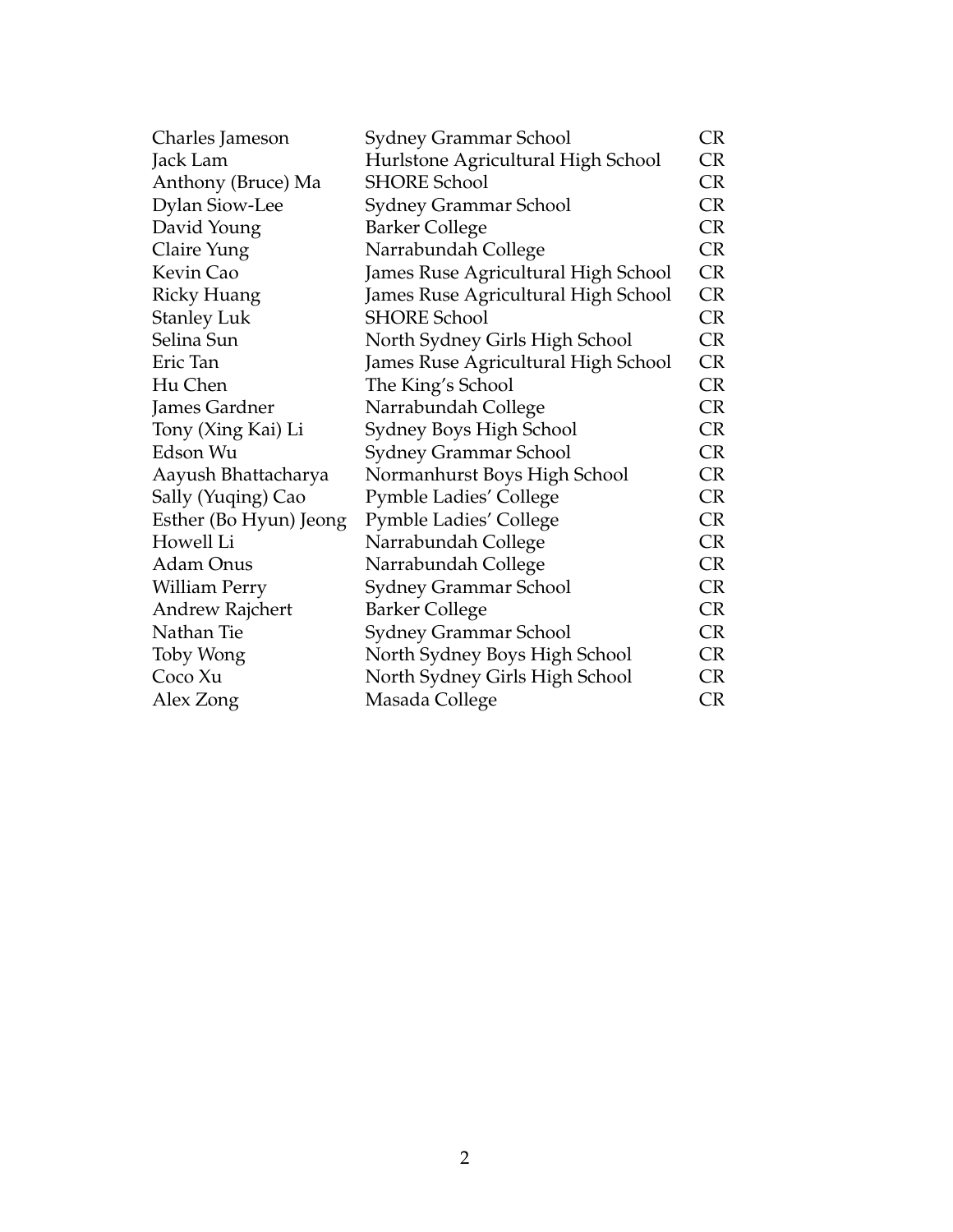| Charles Jameson        | Sydney Grammar School               | <b>CR</b> |
|------------------------|-------------------------------------|-----------|
| Jack Lam               | Hurlstone Agricultural High School  | <b>CR</b> |
| Anthony (Bruce) Ma     | <b>SHORE School</b>                 | <b>CR</b> |
| <b>Dylan Siow-Lee</b>  | Sydney Grammar School               | <b>CR</b> |
| David Young            | <b>Barker College</b>               | <b>CR</b> |
| Claire Yung            | Narrabundah College                 | CR        |
| Kevin Cao              | James Ruse Agricultural High School | <b>CR</b> |
| Ricky Huang            | James Ruse Agricultural High School | <b>CR</b> |
| <b>Stanley Luk</b>     | <b>SHORE School</b>                 | <b>CR</b> |
| Selina Sun             | North Sydney Girls High School      | <b>CR</b> |
| Eric Tan               | James Ruse Agricultural High School | CR        |
| Hu Chen                | The King's School                   | CR        |
| James Gardner          | Narrabundah College                 | <b>CR</b> |
| Tony (Xing Kai) Li     | Sydney Boys High School             | <b>CR</b> |
| Edson Wu               | Sydney Grammar School               | <b>CR</b> |
| Aayush Bhattacharya    | Normanhurst Boys High School        | <b>CR</b> |
| Sally (Yuqing) Cao     | <b>Pymble Ladies' College</b>       | <b>CR</b> |
| Esther (Bo Hyun) Jeong | <b>Pymble Ladies' College</b>       | <b>CR</b> |
| Howell Li              | Narrabundah College                 | <b>CR</b> |
| Adam Onus              | Narrabundah College                 | CR        |
| William Perry          | Sydney Grammar School               | CR        |
| <b>Andrew Rajchert</b> | <b>Barker College</b>               | CR        |
| Nathan Tie             | Sydney Grammar School               | <b>CR</b> |
| Toby Wong              | North Sydney Boys High School       | <b>CR</b> |
| Coco Xu                | North Sydney Girls High School      | <b>CR</b> |
| Alex Zong              | Masada College                      | <b>CR</b> |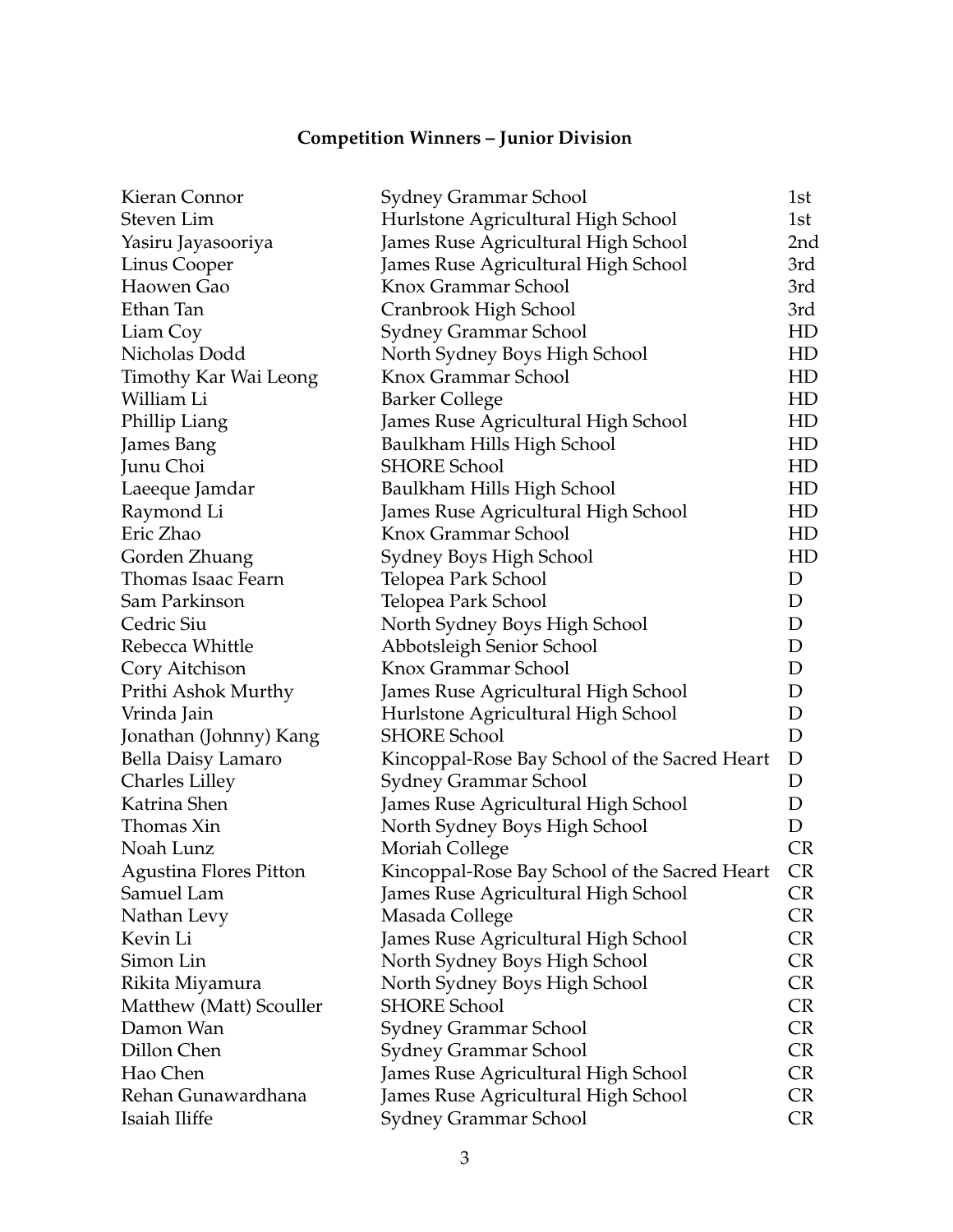## **Competition Winners – Junior Division**

| Steven Lim<br>Hurlstone Agricultural High School<br>1st<br>James Ruse Agricultural High School<br>Yasiru Jayasooriya<br>2nd<br>James Ruse Agricultural High School<br>Linus Cooper<br>3rd<br>Knox Grammar School<br>Haowen Gao<br>3rd<br>Ethan Tan<br>Cranbrook High School<br>3rd<br>HD<br>Liam Coy<br>Sydney Grammar School<br>Nicholas Dodd<br>North Sydney Boys High School<br>HD<br>Knox Grammar School<br>Timothy Kar Wai Leong<br>HD<br>William Li<br><b>Barker College</b><br>HD<br>Phillip Liang<br>James Ruse Agricultural High School<br>HD<br>Baulkham Hills High School<br>James Bang<br>HD<br><b>SHORE School</b><br>Junu Choi<br>HD<br>Baulkham Hills High School<br>Laeeque Jamdar<br>HD<br>Raymond Li<br>James Ruse Agricultural High School<br>HD<br>Eric Zhao<br>Knox Grammar School<br>HD<br>Gorden Zhuang<br>Sydney Boys High School<br>HD<br>Thomas Isaac Fearn<br>Telopea Park School<br>D<br>Sam Parkinson<br>Telopea Park School<br>D<br>North Sydney Boys High School<br>Cedric Siu<br>D |
|--------------------------------------------------------------------------------------------------------------------------------------------------------------------------------------------------------------------------------------------------------------------------------------------------------------------------------------------------------------------------------------------------------------------------------------------------------------------------------------------------------------------------------------------------------------------------------------------------------------------------------------------------------------------------------------------------------------------------------------------------------------------------------------------------------------------------------------------------------------------------------------------------------------------------------------------------------------------------------------------------------------------|
|                                                                                                                                                                                                                                                                                                                                                                                                                                                                                                                                                                                                                                                                                                                                                                                                                                                                                                                                                                                                                    |
|                                                                                                                                                                                                                                                                                                                                                                                                                                                                                                                                                                                                                                                                                                                                                                                                                                                                                                                                                                                                                    |
|                                                                                                                                                                                                                                                                                                                                                                                                                                                                                                                                                                                                                                                                                                                                                                                                                                                                                                                                                                                                                    |
|                                                                                                                                                                                                                                                                                                                                                                                                                                                                                                                                                                                                                                                                                                                                                                                                                                                                                                                                                                                                                    |
|                                                                                                                                                                                                                                                                                                                                                                                                                                                                                                                                                                                                                                                                                                                                                                                                                                                                                                                                                                                                                    |
|                                                                                                                                                                                                                                                                                                                                                                                                                                                                                                                                                                                                                                                                                                                                                                                                                                                                                                                                                                                                                    |
|                                                                                                                                                                                                                                                                                                                                                                                                                                                                                                                                                                                                                                                                                                                                                                                                                                                                                                                                                                                                                    |
|                                                                                                                                                                                                                                                                                                                                                                                                                                                                                                                                                                                                                                                                                                                                                                                                                                                                                                                                                                                                                    |
|                                                                                                                                                                                                                                                                                                                                                                                                                                                                                                                                                                                                                                                                                                                                                                                                                                                                                                                                                                                                                    |
|                                                                                                                                                                                                                                                                                                                                                                                                                                                                                                                                                                                                                                                                                                                                                                                                                                                                                                                                                                                                                    |
|                                                                                                                                                                                                                                                                                                                                                                                                                                                                                                                                                                                                                                                                                                                                                                                                                                                                                                                                                                                                                    |
|                                                                                                                                                                                                                                                                                                                                                                                                                                                                                                                                                                                                                                                                                                                                                                                                                                                                                                                                                                                                                    |
|                                                                                                                                                                                                                                                                                                                                                                                                                                                                                                                                                                                                                                                                                                                                                                                                                                                                                                                                                                                                                    |
|                                                                                                                                                                                                                                                                                                                                                                                                                                                                                                                                                                                                                                                                                                                                                                                                                                                                                                                                                                                                                    |
|                                                                                                                                                                                                                                                                                                                                                                                                                                                                                                                                                                                                                                                                                                                                                                                                                                                                                                                                                                                                                    |
|                                                                                                                                                                                                                                                                                                                                                                                                                                                                                                                                                                                                                                                                                                                                                                                                                                                                                                                                                                                                                    |
|                                                                                                                                                                                                                                                                                                                                                                                                                                                                                                                                                                                                                                                                                                                                                                                                                                                                                                                                                                                                                    |
|                                                                                                                                                                                                                                                                                                                                                                                                                                                                                                                                                                                                                                                                                                                                                                                                                                                                                                                                                                                                                    |
|                                                                                                                                                                                                                                                                                                                                                                                                                                                                                                                                                                                                                                                                                                                                                                                                                                                                                                                                                                                                                    |
| Abbotsleigh Senior School<br>D<br>Rebecca Whittle                                                                                                                                                                                                                                                                                                                                                                                                                                                                                                                                                                                                                                                                                                                                                                                                                                                                                                                                                                  |
| Knox Grammar School<br>D<br>Cory Aitchison                                                                                                                                                                                                                                                                                                                                                                                                                                                                                                                                                                                                                                                                                                                                                                                                                                                                                                                                                                         |
| James Ruse Agricultural High School<br>D<br>Prithi Ashok Murthy                                                                                                                                                                                                                                                                                                                                                                                                                                                                                                                                                                                                                                                                                                                                                                                                                                                                                                                                                    |
| Vrinda Jain<br>Hurlstone Agricultural High School<br>D                                                                                                                                                                                                                                                                                                                                                                                                                                                                                                                                                                                                                                                                                                                                                                                                                                                                                                                                                             |
| <b>SHORE School</b><br>Jonathan (Johnny) Kang<br>D                                                                                                                                                                                                                                                                                                                                                                                                                                                                                                                                                                                                                                                                                                                                                                                                                                                                                                                                                                 |
| D<br>Bella Daisy Lamaro<br>Kincoppal-Rose Bay School of the Sacred Heart                                                                                                                                                                                                                                                                                                                                                                                                                                                                                                                                                                                                                                                                                                                                                                                                                                                                                                                                           |
| <b>Charles Lilley</b><br>Sydney Grammar School<br>D                                                                                                                                                                                                                                                                                                                                                                                                                                                                                                                                                                                                                                                                                                                                                                                                                                                                                                                                                                |
| Katrina Shen<br>James Ruse Agricultural High School<br>D                                                                                                                                                                                                                                                                                                                                                                                                                                                                                                                                                                                                                                                                                                                                                                                                                                                                                                                                                           |
| D<br>Thomas Xin<br>North Sydney Boys High School                                                                                                                                                                                                                                                                                                                                                                                                                                                                                                                                                                                                                                                                                                                                                                                                                                                                                                                                                                   |
| <b>CR</b><br>Noah Lunz<br>Moriah College                                                                                                                                                                                                                                                                                                                                                                                                                                                                                                                                                                                                                                                                                                                                                                                                                                                                                                                                                                           |
| <b>CR</b><br>Agustina Flores Pitton<br>Kincoppal-Rose Bay School of the Sacred Heart                                                                                                                                                                                                                                                                                                                                                                                                                                                                                                                                                                                                                                                                                                                                                                                                                                                                                                                               |
| Samuel Lam<br>James Ruse Agricultural High School<br>CR                                                                                                                                                                                                                                                                                                                                                                                                                                                                                                                                                                                                                                                                                                                                                                                                                                                                                                                                                            |
| CR<br>Nathan Levy<br>Masada College                                                                                                                                                                                                                                                                                                                                                                                                                                                                                                                                                                                                                                                                                                                                                                                                                                                                                                                                                                                |
| James Ruse Agricultural High School<br><b>CR</b><br>Kevin Li                                                                                                                                                                                                                                                                                                                                                                                                                                                                                                                                                                                                                                                                                                                                                                                                                                                                                                                                                       |
| Simon Lin<br>North Sydney Boys High School<br><b>CR</b>                                                                                                                                                                                                                                                                                                                                                                                                                                                                                                                                                                                                                                                                                                                                                                                                                                                                                                                                                            |
| <b>CR</b><br>Rikita Miyamura<br>North Sydney Boys High School                                                                                                                                                                                                                                                                                                                                                                                                                                                                                                                                                                                                                                                                                                                                                                                                                                                                                                                                                      |
| <b>SHORE School</b><br>Matthew (Matt) Scouller<br><b>CR</b>                                                                                                                                                                                                                                                                                                                                                                                                                                                                                                                                                                                                                                                                                                                                                                                                                                                                                                                                                        |
| <b>CR</b><br>Damon Wan<br>Sydney Grammar School                                                                                                                                                                                                                                                                                                                                                                                                                                                                                                                                                                                                                                                                                                                                                                                                                                                                                                                                                                    |
| Dillon Chen<br>Sydney Grammar School<br><b>CR</b>                                                                                                                                                                                                                                                                                                                                                                                                                                                                                                                                                                                                                                                                                                                                                                                                                                                                                                                                                                  |
| Hao Chen<br><b>CR</b><br>James Ruse Agricultural High School                                                                                                                                                                                                                                                                                                                                                                                                                                                                                                                                                                                                                                                                                                                                                                                                                                                                                                                                                       |
| James Ruse Agricultural High School<br><b>CR</b><br>Rehan Gunawardhana                                                                                                                                                                                                                                                                                                                                                                                                                                                                                                                                                                                                                                                                                                                                                                                                                                                                                                                                             |
| Isaiah Iliffe<br>Sydney Grammar School<br><b>CR</b>                                                                                                                                                                                                                                                                                                                                                                                                                                                                                                                                                                                                                                                                                                                                                                                                                                                                                                                                                                |